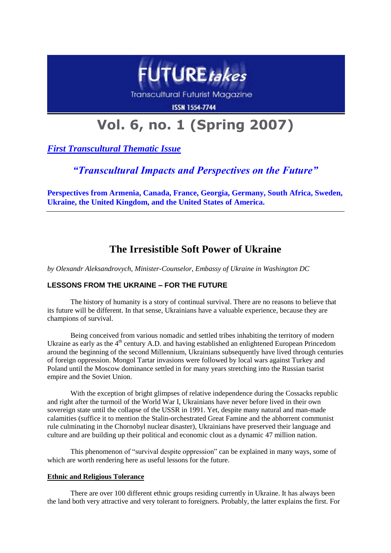

**Transcultural Futurist Magazine** 

**ISSN 1554-7744** 

# **Vol. 6, no. 1 (Spring 2007)**

*First Transcultural Thematic Issue*

# *"Transcultural Impacts and Perspectives on the Future"*

**Perspectives from Armenia, Canada, France, Georgia, Germany, South Africa, Sweden, Ukraine, the United Kingdom, and the United States of America.**

# **The Irresistible Soft Power of Ukraine**

*by Olexandr Aleksandrovych, Minister-Counselor, Embassy of Ukraine in Washington DC*

## **LESSONS FROM THE UKRAINE – FOR THE FUTURE**

The history of humanity is a story of continual survival. There are no reasons to believe that its future will be different. In that sense, Ukrainians have a valuable experience, because they are champions of survival.

Being conceived from various nomadic and settled tribes inhabiting the territory of modern Ukraine as early as the  $4<sup>th</sup>$  century A.D. and having established an enlightened European Princedom around the beginning of the second Millennium, Ukrainians subsequently have lived through centuries of foreign oppression. Mongol Tartar invasions were followed by local wars against Turkey and Poland until the Moscow dominance settled in for many years stretching into the Russian tsarist empire and the Soviet Union.

With the exception of bright glimpses of relative independence during the Cossacks republic and right after the turmoil of the World War I, Ukrainians have never before lived in their own sovereign state until the collapse of the USSR in 1991. Yet, despite many natural and man-made calamities (suffice it to mention the Stalin-orchestrated Great Famine and the abhorrent communist rule culminating in the Chornobyl nuclear disaster), Ukrainians have preserved their language and culture and are building up their political and economic clout as a dynamic 47 million nation.

This phenomenon of "survival despite oppression" can be explained in many ways, some of which are worth rendering here as useful lessons for the future.

### **Ethnic and Religious Tolerance**

There are over 100 different ethnic groups residing currently in Ukraine. It has always been the land both very attractive and very tolerant to foreigners. Probably, the latter explains the first. For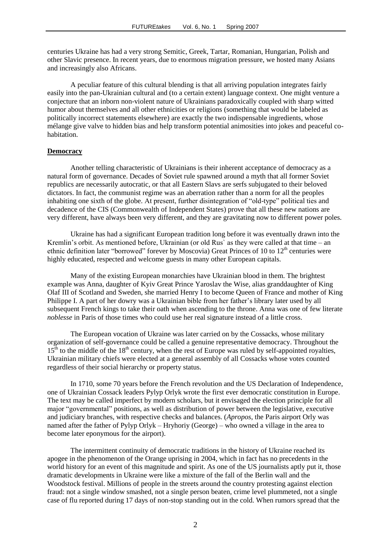centuries Ukraine has had a very strong Semitic, Greek, Tartar, Romanian, Hungarian, Polish and other Slavic presence. In recent years, due to enormous migration pressure, we hosted many Asians and increasingly also Africans.

A peculiar feature of this cultural blending is that all arriving population integrates fairly easily into the pan-Ukrainian cultural and (to a certain extent) language context. One might venture a conjecture that an inborn non-violent nature of Ukrainians paradoxically coupled with sharp witted humor about themselves and all other ethnicities or religions (something that would be labeled as politically incorrect statements elsewhere) are exactly the two indispensable ingredients, whose mélange give valve to hidden bias and help transform potential animosities into jokes and peaceful cohabitation.

#### **Democracy**

Another telling characteristic of Ukrainians is their inherent acceptance of democracy as a natural form of governance. Decades of Soviet rule spawned around a myth that all former Soviet republics are necessarily autocratic, or that all Eastern Slavs are serfs subjugated to their beloved dictators. In fact, the communist regime was an aberration rather than a norm for all the peoples inhabiting one sixth of the globe. At present, further disintegration of "old-type" political ties and decadence of the CIS (Commonwealth of Independent States) prove that all these new nations are very different, have always been very different, and they are gravitating now to different power poles.

Ukraine has had a significant European tradition long before it was eventually drawn into the Kremlin's orbit. As mentioned before, Ukrainian (or old Rus) as they were called at that time – an ethnic definition later "borrowed" forever by Moscovia) Great Princes of 10 to  $12<sup>th</sup>$  centuries were highly educated, respected and welcome guests in many other European capitals.

Many of the existing European monarchies have Ukrainian blood in them. The brightest example was Anna, daughter of Kyiv Great Prince Yaroslav the Wise, alias granddaughter of King Olaf III of Scotland and Sweden, she married Henry I to become Queen of France and mother of King Philippe I. A part of her dowry was a Ukrainian bible from her father's library later used by all subsequent French kings to take their oath when ascending to the throne. Anna was one of few literate *noblesse* in Paris of those times who could use her real signature instead of a little cross.

The European vocation of Ukraine was later carried on by the Cossacks, whose military organization of self-governance could be called a genuine representative democracy. Throughout the  $15<sup>th</sup>$  to the middle of the  $18<sup>th</sup>$  century, when the rest of Europe was ruled by self-appointed royalties, Ukrainian military chiefs were elected at a general assembly of all Cossacks whose votes counted regardless of their social hierarchy or property status.

In 1710, some 70 years before the French revolution and the US Declaration of Independence, one of Ukrainian Cossack leaders Pylyp Orlyk wrote the first ever democratic constitution in Europe. The text may be called imperfect by modern scholars, but it envisaged the election principle for all major "governmental" positions, as well as distribution of power between the legislative, executive and judiciary branches, with respective checks and balances. (*Apropos*, the Paris airport Orly was named after the father of Pylyp Orlyk – Hryhoriy (George) – who owned a village in the area to become later eponymous for the airport).

The intermittent continuity of democratic traditions in the history of Ukraine reached its apogee in the phenomenon of the Orange uprising in 2004, which in fact has no precedents in the world history for an event of this magnitude and spirit. As one of the US journalists aptly put it, those dramatic developments in Ukraine were like a mixture of the fall of the Berlin wall and the Woodstock festival. Millions of people in the streets around the country protesting against election fraud: not a single window smashed, not a single person beaten, crime level plummeted, not a single case of flu reported during 17 days of non-stop standing out in the cold. When rumors spread that the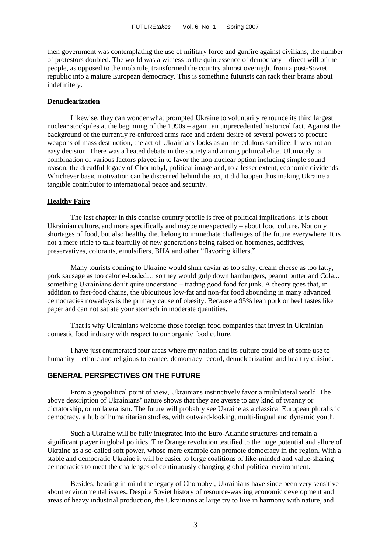then government was contemplating the use of military force and gunfire against civilians, the number of protestors doubled. The world was a witness to the quintessence of democracy – direct will of the people, as opposed to the mob rule, transformed the country almost overnight from a post-Soviet republic into a mature European democracy. This is something futurists can rack their brains about indefinitely.

#### **Denuclearization**

Likewise, they can wonder what prompted Ukraine to voluntarily renounce its third largest nuclear stockpiles at the beginning of the 1990s – again, an unprecedented historical fact. Against the background of the currently re-enforced arms race and ardent desire of several powers to procure weapons of mass destruction, the act of Ukrainians looks as an incredulous sacrifice. It was not an easy decision. There was a heated debate in the society and among political elite. Ultimately, a combination of various factors played in to favor the non-nuclear option including simple sound reason, the dreadful legacy of Chornobyl, political image and, to a lesser extent, economic dividends. Whichever basic motivation can be discerned behind the act, it did happen thus making Ukraine a tangible contributor to international peace and security.

#### **Healthy Faire**

The last chapter in this concise country profile is free of political implications. It is about Ukrainian culture, and more specifically and maybe unexpectedly – about food culture. Not only shortages of food, but also healthy diet belong to immediate challenges of the future everywhere. It is not a mere trifle to talk fearfully of new generations being raised on hormones, additives, preservatives, colorants, emulsifiers, BHA and other "flavoring killers."

Many tourists coming to Ukraine would shun caviar as too salty, cream cheese as too fatty, pork sausage as too calorie-loaded… so they would gulp down hamburgers, peanut butter and Cola... something Ukrainians don't quite understand – trading good food for junk. A theory goes that, in addition to fast-food chains, the ubiquitous low-fat and non-fat food abounding in many advanced democracies nowadays is the primary cause of obesity. Because a 95% lean pork or beef tastes like paper and can not satiate your stomach in moderate quantities.

That is why Ukrainians welcome those foreign food companies that invest in Ukrainian domestic food industry with respect to our organic food culture.

I have just enumerated four areas where my nation and its culture could be of some use to humanity – ethnic and religious tolerance, democracy record, denuclearization and healthy cuisine.

#### **GENERAL PERSPECTIVES ON THE FUTURE**

From a geopolitical point of view, Ukrainians instinctively favor a multilateral world. The above description of Ukrainians' nature shows that they are averse to any kind of tyranny or dictatorship, or unilateralism. The future will probably see Ukraine as a classical European pluralistic democracy, a hub of humanitarian studies, with outward-looking, multi-lingual and dynamic youth.

Such a Ukraine will be fully integrated into the Euro-Atlantic structures and remain a significant player in global politics. The Orange revolution testified to the huge potential and allure of Ukraine as a so-called soft power, whose mere example can promote democracy in the region. With a stable and democratic Ukraine it will be easier to forge coalitions of like-minded and value-sharing democracies to meet the challenges of continuously changing global political environment.

Besides, bearing in mind the legacy of Chornobyl, Ukrainians have since been very sensitive about environmental issues. Despite Soviet history of resource-wasting economic development and areas of heavy industrial production, the Ukrainians at large try to live in harmony with nature, and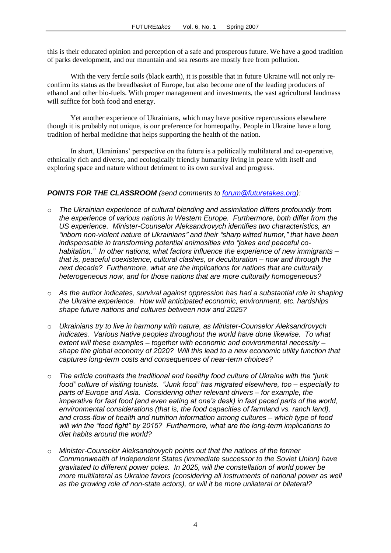this is their educated opinion and perception of a safe and prosperous future. We have a good tradition of parks development, and our mountain and sea resorts are mostly free from pollution.

With the very fertile soils (black earth), it is possible that in future Ukraine will not only reconfirm its status as the breadbasket of Europe, but also become one of the leading producers of ethanol and other bio-fuels. With proper management and investments, the vast agricultural landmass will suffice for both food and energy.

Yet another experience of Ukrainians, which may have positive repercussions elsewhere though it is probably not unique, is our preference for homeopathy. People in Ukraine have a long tradition of herbal medicine that helps supporting the health of the nation.

In short, Ukrainians' perspective on the future is a politically multilateral and co-operative, ethnically rich and diverse, and ecologically friendly humanity living in peace with itself and exploring space and nature without detriment to its own survival and progress.

### *POINTS FOR THE CLASSROOM (send comments to [forum@futuretakes.org\)](mailto:forum@futuretakes.org):*

- o *The Ukrainian experience of cultural blending and assimilation differs profoundly from the experience of various nations in Western Europe. Furthermore, both differ from the US experience. Minister-Counselor Aleksandrovych identifies two characteristics, an "inborn non-violent nature of Ukrainians" and their "sharp witted humor," that have been indispensable in transforming potential animosities into "jokes and peaceful cohabitation." In other nations, what factors influence the experience of new immigrants – that is, peaceful coexistence, cultural clashes, or deculturation – now and through the next decade? Furthermore, what are the implications for nations that are culturally heterogeneous now, and for those nations that are more culturally homogeneous?*
- o *As the author indicates, survival against oppression has had a substantial role in shaping the Ukraine experience. How will anticipated economic, environment, etc. hardships shape future nations and cultures between now and 2025?*
- o *Ukrainians try to live in harmony with nature, as Minister-Counselor Aleksandrovych indicates. Various Native peoples throughout the world have done likewise. To what extent will these examples – together with economic and environmental necessity – shape the global economy of 2020? Will this lead to a new economic utility function that captures long-term costs and consequences of near-term choices?*
- o *The article contrasts the traditional and healthy food culture of Ukraine with the "junk food" culture of visiting tourists. "Junk food" has migrated elsewhere, too – especially to parts of Europe and Asia. Considering other relevant drivers – for example, the imperative for fast food (and even eating at one's desk) in fast paced parts of the world, environmental considerations (that is, the food capacities of farmland vs. ranch land), and cross-flow of health and nutrition information among cultures – which type of food will win the "food fight" by 2015? Furthermore, what are the long-term implications to diet habits around the world?*
- o *Minister-Counselor Aleksandrovych points out that the nations of the former Commonwealth of Independent States (immediate successor to the Soviet Union) have gravitated to different power poles. In 2025, will the constellation of world power be more multilateral as Ukraine favors (considering all instruments of national power as well as the growing role of non-state actors), or will it be more unilateral or bilateral?*